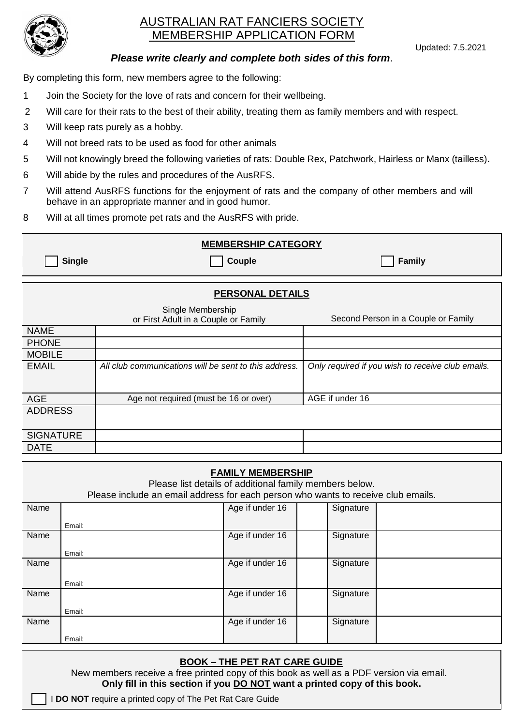

# AUSTRALIAN RAT FANCIERS SOCIETY MEMBERSHIP APPLICATION FORM

Updated: 7.5.2021

## *Please write clearly and complete both sides of this form*.

By completing this form, new members agree to the following:

- 1 Join the Society for the love of rats and concern for their wellbeing.
- 2 Will care for their rats to the best of their ability, treating them as family members and with respect.
- 3 Will keep rats purely as a hobby.
- 4 Will not breed rats to be used as food for other animals
- 5 Will not knowingly breed the following varieties of rats: Double Rex, Patchwork, Hairless or Manx (tailless)**.**
- 6 Will abide by the rules and procedures of the AusRFS.
- 7 Will attend AusRFS functions for the enjoyment of rats and the company of other members and will behave in an appropriate manner and in good humor.
- 8 Will at all times promote pet rats and the AusRFS with pride.

| <b>MEMBERSHIP CATEGORY</b> |                                                           |                                                   |  |  |  |  |  |
|----------------------------|-----------------------------------------------------------|---------------------------------------------------|--|--|--|--|--|
| <b>Single</b>              | Couple                                                    | <b>Family</b>                                     |  |  |  |  |  |
| <b>PERSONAL DETAILS</b>    |                                                           |                                                   |  |  |  |  |  |
|                            | Single Membership<br>or First Adult in a Couple or Family | Second Person in a Couple or Family               |  |  |  |  |  |
| <b>NAME</b>                |                                                           |                                                   |  |  |  |  |  |
| <b>PHONE</b>               |                                                           |                                                   |  |  |  |  |  |
| <b>MOBILE</b>              |                                                           |                                                   |  |  |  |  |  |
| <b>EMAIL</b>               | All club communications will be sent to this address.     | Only required if you wish to receive club emails. |  |  |  |  |  |
| <b>AGE</b>                 | Age not required (must be 16 or over)                     | AGE if under 16                                   |  |  |  |  |  |
| <b>ADDRESS</b>             |                                                           |                                                   |  |  |  |  |  |
| <b>SIGNATURE</b>           |                                                           |                                                   |  |  |  |  |  |
| <b>DATE</b>                |                                                           |                                                   |  |  |  |  |  |

| <b>FAMILY MEMBERSHIP</b><br>Please list details of additional family members below.<br>Please include an email address for each person who wants to receive club emails. |        |                 |  |           |  |  |  |
|--------------------------------------------------------------------------------------------------------------------------------------------------------------------------|--------|-----------------|--|-----------|--|--|--|
| Name                                                                                                                                                                     |        | Age if under 16 |  | Signature |  |  |  |
|                                                                                                                                                                          | Email: |                 |  |           |  |  |  |
| Name                                                                                                                                                                     |        | Age if under 16 |  | Signature |  |  |  |
|                                                                                                                                                                          | Email: |                 |  |           |  |  |  |
| Name                                                                                                                                                                     |        | Age if under 16 |  | Signature |  |  |  |
|                                                                                                                                                                          | Email: |                 |  |           |  |  |  |
| Name                                                                                                                                                                     |        | Age if under 16 |  | Signature |  |  |  |
|                                                                                                                                                                          | Email: |                 |  |           |  |  |  |
| Name                                                                                                                                                                     |        | Age if under 16 |  | Signature |  |  |  |
|                                                                                                                                                                          | Email: |                 |  |           |  |  |  |

## **BOOK – THE PET RAT CARE GUIDE**

New members receive a free printed copy of this book as well as a PDF version via email. **Only fill in this section if you DO NOT want a printed copy of this book.**

I **DO NOT** require a printed copy of The Pet Rat Care Guide